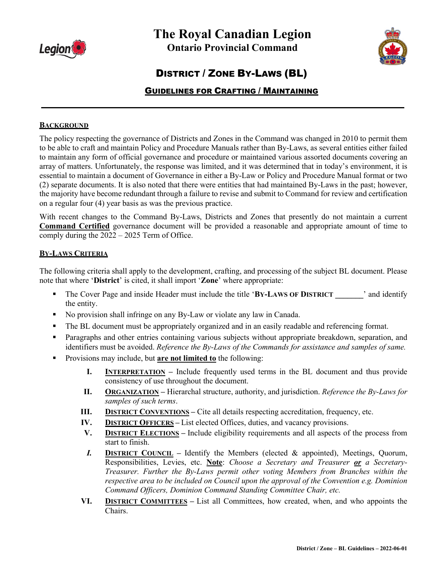



# DISTRICT / ZONE BY-LAWS (BL)

# GUIDELINES FOR CRAFTING / MAINTAINING

**\_\_\_\_\_\_\_\_\_\_\_\_\_\_\_\_\_\_\_\_\_\_\_\_\_\_\_\_\_\_\_\_\_\_\_\_\_\_\_\_\_\_\_\_\_\_\_\_\_\_\_\_\_\_\_\_\_\_\_\_\_\_\_\_\_\_\_\_\_\_\_**

## **BACKGROUND**

The policy respecting the governance of Districts and Zones in the Command was changed in 2010 to permit them to be able to craft and maintain Policy and Procedure Manuals rather than By-Laws, as several entities either failed to maintain any form of official governance and procedure or maintained various assorted documents covering an array of matters. Unfortunately, the response was limited, and it was determined that in today's environment, it is essential to maintain a document of Governance in either a By-Law or Policy and Procedure Manual format or two (2) separate documents. It is also noted that there were entities that had maintained By-Laws in the past; however, the majority have become redundant through a failure to revise and submit to Command for review and certification on a regular four (4) year basis as was the previous practice.

With recent changes to the Command By-Laws, Districts and Zones that presently do not maintain a current **Command Certified** governance document will be provided a reasonable and appropriate amount of time to comply during the 2022 – 2025 Term of Office.

#### **BY-LAWS CRITERIA**

The following criteria shall apply to the development, crafting, and processing of the subject BL document. Please note that where '**District**' is cited, it shall import '**Zone**' where appropriate:

- The Cover Page and inside Header must include the title 'BY-LAWS OF DISTRICT <sup>2</sup> and identify the entity.
- No provision shall infringe on any By-Law or violate any law in Canada.
- The BL document must be appropriately organized and in an easily readable and referencing format.
- Paragraphs and other entries containing various subjects without appropriate breakdown, separation, and identifiers must be avoided. *Reference the By-Laws of the Commands for assistance and samples of same.*
- Provisions may include, but **are not limited to** the following:
	- **I. INTERPRETATION** Include frequently used terms in the BL document and thus provide consistency of use throughout the document.
	- **II. ORGANIZATION –** Hierarchal structure, authority, and jurisdiction. *Reference the By-Laws for samples of such terms*.
	- **III. DISTRICT CONVENTIONS** Cite all details respecting accreditation, frequency, etc.
	- **IV. DISTRICT OFFICERS –** List elected Offices, duties, and vacancy provisions.
	- **V. DISTRICT ELECTIONS –** Include eligibility requirements and all aspects of the process from start to finish.
	- *I.* **DISTRICT COUNCIL –** Identify the Members (elected & appointed), Meetings, Quorum, Responsibilities, Levies, etc. **Note**: *Choose a Secretary and Treasurer or a Secretary-Treasurer. Further the By-Laws permit other voting Members from Branches within the respective area to be included on Council upon the approval of the Convention e.g. Dominion Command Officers, Dominion Command Standing Committee Chair, etc.*
	- **VI. DISTRICT COMMITTEES –** List all Committees, how created, when, and who appoints the Chairs.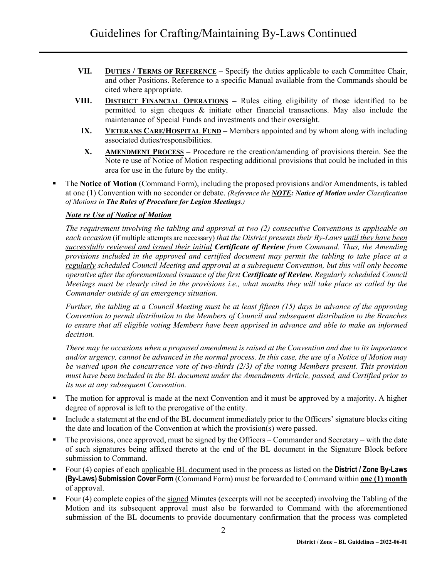- **VII. DUTIES / TERMS OF REFERENCE –** Specify the duties applicable to each Committee Chair, and other Positions. Reference to a specific Manual available from the Commands should be cited where appropriate.
- **VIII. DISTRICT FINANCIAL OPERATIONS –** Rules citing eligibility of those identified to be permitted to sign cheques & initiate other financial transactions. May also include the maintenance of Special Funds and investments and their oversight.
	- **IX. VETERANS CARE/HOSPITAL FUND –** Members appointed and by whom along with including associated duties/responsibilities.
	- **X. AMENDMENT PROCESS –** Procedure re the creation/amending of provisions therein. See the Note re use of Notice of Motion respecting additional provisions that could be included in this area for use in the future by the entity.
- The **Notice of Motion** (Command Form), including the proposed provisions and/or Amendments, is tabled at one (1) Convention with no seconder or debate. *(Reference the NOTE: Notice of Motion under Classification of Motions in The Rules of Procedure for Legion Meetings.)*

## *Note re Use of Notice of Motion*

*The requirement involving the tabling and approval at two (2) consecutive Conventions is applicable on each occasion* (if multiple attempts are necessary) *that the District presents their By-Laws until they have been successfully reviewed and issued their initial Certificate of Review from Command. Thus, the Amending provisions included in the approved and certified document may permit the tabling to take place at a regularly scheduled Council Meeting and approval at a subsequent Convention, but this will only become operative after the aforementioned issuance of the first Certificate of Review. Regularly scheduled Council Meetings must be clearly cited in the provisions i.e., what months they will take place as called by the Commander outside of an emergency situation.*

*Further, the tabling at a Council Meeting must be at least fifteen (15) days in advance of the approving Convention to permit distribution to the Members of Council and subsequent distribution to the Branches to ensure that all eligible voting Members have been apprised in advance and able to make an informed decision.*

*There may be occasions when a proposed amendment is raised at the Convention and due to its importance and/or urgency, cannot be advanced in the normal process. In this case, the use of a Notice of Motion may be waived upon the concurrence vote of two-thirds (2/3) of the voting Members present. This provision must have been included in the BL document under the Amendments Article, passed, and Certified prior to its use at any subsequent Convention.*

- The motion for approval is made at the next Convention and it must be approved by a majority. A higher degree of approval is left to the prerogative of the entity.
- Include a statement at the end of the BL document immediately prior to the Officers' signature blocks citing the date and location of the Convention at which the provision(s) were passed.
- The provisions, once approved, must be signed by the Officers Commander and Secretary with the date of such signatures being affixed thereto at the end of the BL document in the Signature Block before submission to Command.
- Four (4) copies of each applicable BL document used in the process as listed on the **District / Zone By-Laws (By-Laws) Submission Cover Form** (Command Form) must be forwarded to Command within **one (1) month** of approval.
- Four (4) complete copies of the signed Minutes (excerpts will not be accepted) involving the Tabling of the Motion and its subsequent approval must also be forwarded to Command with the aforementioned submission of the BL documents to provide documentary confirmation that the process was completed